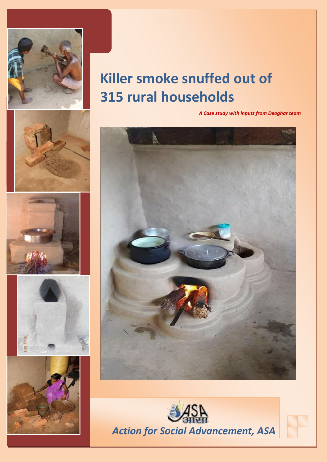

## **Killer smoke snuffed out of 315 rural households**

*A Case study with inputs from Deoghar team*











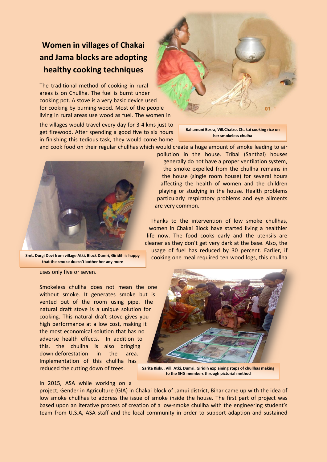## **Women in villages of Chakai and Jama blocks are adopting healthy cooking techniques**

The traditional method of cooking in rural areas is on Chullha. The fuel is burnt under cooking pot. A stove is a very basic device used for cooking by burning wood. Most of the people living in rural areas use wood as fuel. The women in

the villages would travel every day for 3-4 kms just to get firewood. After spending a good five to six hours in finishing this tedious task, they would come home



**Bahamuni Besra, Vill.Chatro, Chakai cooking rice on her smokeless chulha**

and cook food on their regular chullhas which would create a huge amount of smoke leading to air



**Smt. Durgi Devi from village Atki, Block Dumri, Giridih is happy that the smoke doesn't bother her any more**

uses only five or seven.

Smokeless chullha does not mean the one without smoke. It generates smoke but is vented out of the room using pipe. The natural draft stove is a unique solution for cooking. This natural draft stove gives you high performance at a low cost, making it the most economical solution that has no adverse health effects. In addition to this, the chullha is also bringing down deforestation in the area. Implementation of this chullha has reduced the cutting down of trees.

the house (single room house) for several hours affecting the health of women and the children playing or studying in the house. Health problems particularly respiratory problems and eye ailments are very common. Thanks to the intervention of low smoke chullhas, women in Chakai Block have started living a healthier

pollution in the house. Tribal (Santhal) houses generally do not have a proper ventilation system, the smoke expelled from the chullha remains in

life now. The food cooks early and the utensils are cleaner as they don't get very dark at the base. Also, the usage of fuel has reduced by 30 percent. Earlier, if cooking one meal required ten wood logs, this chullha



**Sarita Kisku, Vill. Atki, Dumri, Giridih explaining steps of chullhas making to the SHG members through pictorial method**

## In 2015, ASA while working on a

project; Gender in Agriculture (GIA) in Chakai block of Jamui district, Bihar came up with the idea of low smoke chullhas to address the issue of smoke inside the house. The first part of project was based upon an iterative process of creation of a low-smoke chullha with the engineering student's team from U.S.A, ASA staff and the local community in order to support adaption and sustained